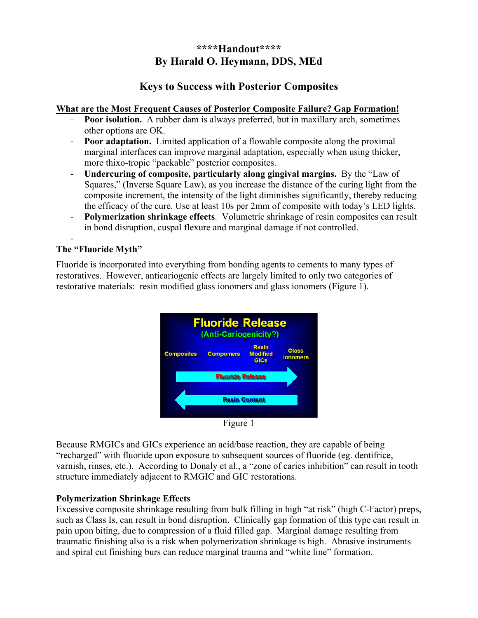# **\*\*\*\*Handout\*\*\*\* By Harald O. Heymann, DDS, MEd**

## **Keys to Success with Posterior Composites**

#### **What are the Most Frequent Causes of Posterior Composite Failure? Gap Formation!**

- **Poor isolation.** A rubber dam is always preferred, but in maxillary arch, sometimes other options are OK.
- **Poor adaptation.** Limited application of a flowable composite along the proximal marginal interfaces can improve marginal adaptation, especially when using thicker, more thixo-tropic "packable" posterior composites.
- **Undercuring of composite, particularly along gingival margins.** By the "Law of Squares," (Inverse Square Law), as you increase the distance of the curing light from the composite increment, the intensity of the light diminishes significantly, thereby reducing the efficacy of the cure. Use at least 10s per 2mm of composite with today's LED lights.
- **Polymerization shrinkage effects**. Volumetric shrinkage of resin composites can result in bond disruption, cuspal flexure and marginal damage if not controlled.

#### - **The "Fluoride Myth"**

Fluoride is incorporated into everything from bonding agents to cements to many types of restoratives. However, anticariogenic effects are largely limited to only two categories of restorative materials: resin modified glass ionomers and glass ionomers (Figure 1).



Figure 1

Because RMGICs and GICs experience an acid/base reaction, they are capable of being "recharged" with fluoride upon exposure to subsequent sources of fluoride (eg. dentifrice, varnish, rinses, etc.). According to Donaly et al., a "zone of caries inhibition" can result in tooth structure immediately adjacent to RMGIC and GIC restorations.

### **Polymerization Shrinkage Effects**

Excessive composite shrinkage resulting from bulk filling in high "at risk" (high C-Factor) preps, such as Class Is, can result in bond disruption. Clinically gap formation of this type can result in pain upon biting, due to compression of a fluid filled gap. Marginal damage resulting from traumatic finishing also is a risk when polymerization shrinkage is high. Abrasive instruments and spiral cut finishing burs can reduce marginal trauma and "white line" formation.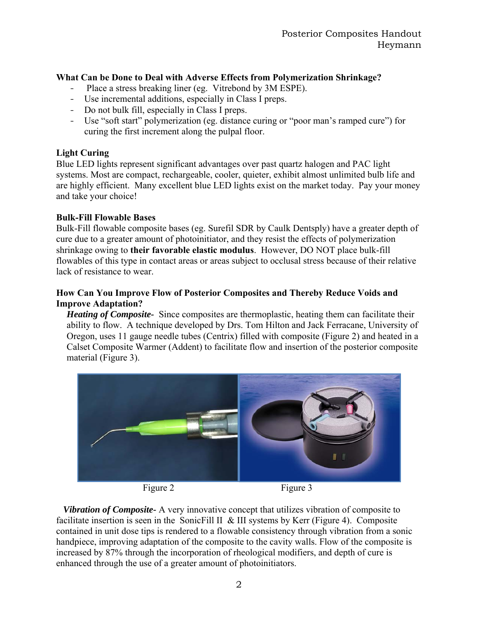### **What Can be Done to Deal with Adverse Effects from Polymerization Shrinkage?**

- Place a stress breaking liner (eg. Vitrebond by 3M ESPE).
- Use incremental additions, especially in Class I preps.
- Do not bulk fill, especially in Class I preps.
- Use "soft start" polymerization (eg. distance curing or "poor man's ramped cure") for curing the first increment along the pulpal floor.

#### **Light Curing**

Blue LED lights represent significant advantages over past quartz halogen and PAC light systems. Most are compact, rechargeable, cooler, quieter, exhibit almost unlimited bulb life and are highly efficient. Many excellent blue LED lights exist on the market today. Pay your money and take your choice!

#### **Bulk-Fill Flowable Bases**

Bulk-Fill flowable composite bases (eg. Surefil SDR by Caulk Dentsply) have a greater depth of cure due to a greater amount of photoinitiator, and they resist the effects of polymerization shrinkage owing to **their favorable elastic modulus**. However, DO NOT place bulk-fill flowables of this type in contact areas or areas subject to occlusal stress because of their relative lack of resistance to wear.

#### **How Can You Improve Flow of Posterior Composites and Thereby Reduce Voids and Improve Adaptation?**

*Heating of Composite-* Since composites are thermoplastic, heating them can facilitate their ability to flow. A technique developed by Drs. Tom Hilton and Jack Ferracane, University of Oregon, uses 11 gauge needle tubes (Centrix) filled with composite (Figure 2) and heated in a Calset Composite Warmer (Addent) to facilitate flow and insertion of the posterior composite material (Figure 3).



Figure 2 Figure 3

 *Vibration of Composite-* A very innovative concept that utilizes vibration of composite to facilitate insertion is seen in the SonicFill II & III systems by Kerr (Figure 4). Composite contained in unit dose tips is rendered to a flowable consistency through vibration from a sonic handpiece, improving adaptation of the composite to the cavity walls. Flow of the composite is increased by 87% through the incorporation of rheological modifiers, and depth of cure is enhanced through the use of a greater amount of photoinitiators.